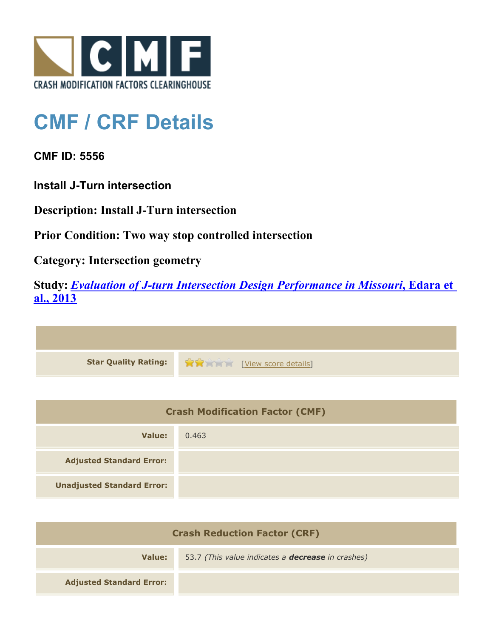

## **CMF / CRF Details**

**CMF ID: 5556**

**Install J-Turn intersection**

**Description: Install J-Turn intersection**

**Prior Condition: Two way stop controlled intersection**

**Category: Intersection geometry**

**Study:** *[Evaluation of J-turn Intersection Design Performance in Missouri](http://www.cmfclearinghouse.org/study_detail.cfm?stid=360)***[, Edara et](http://www.cmfclearinghouse.org/study_detail.cfm?stid=360) [al., 2013](http://www.cmfclearinghouse.org/study_detail.cfm?stid=360)**

| Star Quality Rating: 1999 [View score details] |
|------------------------------------------------|

| <b>Crash Modification Factor (CMF)</b> |       |
|----------------------------------------|-------|
| Value:                                 | 0.463 |
| <b>Adjusted Standard Error:</b>        |       |
| <b>Unadjusted Standard Error:</b>      |       |

| <b>Crash Reduction Factor (CRF)</b> |                                                          |
|-------------------------------------|----------------------------------------------------------|
| Value:                              | 53.7 (This value indicates a <b>decrease</b> in crashes) |
| <b>Adjusted Standard Error:</b>     |                                                          |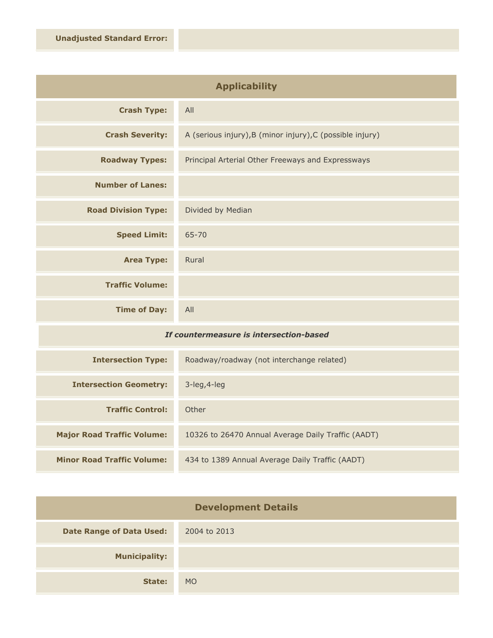| <b>Applicability</b>       |                                                           |
|----------------------------|-----------------------------------------------------------|
| <b>Crash Type:</b>         | All                                                       |
| <b>Crash Severity:</b>     | A (serious injury), B (minor injury), C (possible injury) |
| <b>Roadway Types:</b>      | Principal Arterial Other Freeways and Expressways         |
| <b>Number of Lanes:</b>    |                                                           |
| <b>Road Division Type:</b> | Divided by Median                                         |
| <b>Speed Limit:</b>        | 65-70                                                     |
| <b>Area Type:</b>          | Rural                                                     |
| <b>Traffic Volume:</b>     |                                                           |
| <b>Time of Day:</b>        | All                                                       |

## *If countermeasure is intersection-based*

| <b>Intersection Type:</b>         | Roadway/roadway (not interchange related)          |
|-----------------------------------|----------------------------------------------------|
| <b>Intersection Geometry:</b>     | $3$ -leg, $4$ -leg                                 |
| <b>Traffic Control:</b>           | Other                                              |
| <b>Major Road Traffic Volume:</b> | 10326 to 26470 Annual Average Daily Traffic (AADT) |
| <b>Minor Road Traffic Volume:</b> | 434 to 1389 Annual Average Daily Traffic (AADT)    |

| <b>Development Details</b>      |              |
|---------------------------------|--------------|
| <b>Date Range of Data Used:</b> | 2004 to 2013 |
| <b>Municipality:</b>            |              |
| State:                          | <b>MO</b>    |